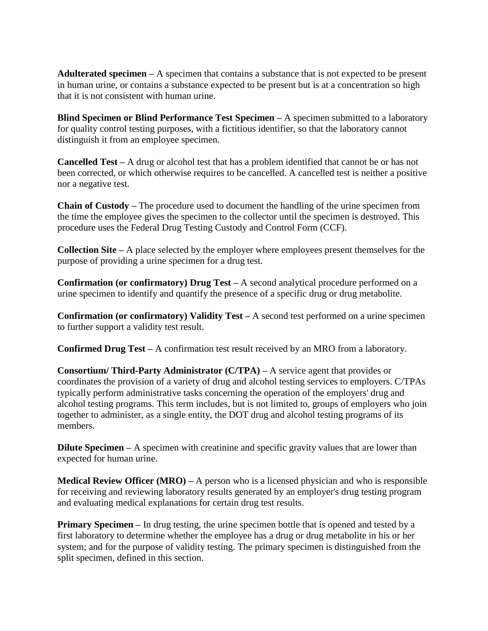**Adulterated specimen –** A specimen that contains a substance that is not expected to be present in human urine, or contains a substance expected to be present but is at a concentration so high that it is not consistent with human urine.

**Blind Specimen or Blind Performance Test Specimen –** A specimen submitted to a laboratory for quality control testing purposes, with a fictitious identifier, so that the laboratory cannot distinguish it from an employee specimen.

**Cancelled Test –** A drug or alcohol test that has a problem identified that cannot be or has not been corrected, or which otherwise requires to be cancelled. A cancelled test is neither a positive nor a negative test.

**Chain of Custody –** The procedure used to document the handling of the urine specimen from the time the employee gives the specimen to the collector until the specimen is destroyed. This procedure uses the Federal Drug Testing Custody and Control Form (CCF).

**Collection Site –** A place selected by the employer where employees present themselves for the purpose of providing a urine specimen for a drug test.

**Confirmation (or confirmatory) Drug Test –** A second analytical procedure performed on a urine specimen to identify and quantify the presence of a specific drug or drug metabolite.

**Confirmation (or confirmatory) Validity Test –** A second test performed on a urine specimen to further support a validity test result.

**Confirmed Drug Test –** A confirmation test result received by an MRO from a laboratory.

**Consortium/ Third-Party Administrator (C/TPA) –** A service agent that provides or coordinates the provision of a variety of drug and alcohol testing services to employers. C/TPAs typically perform administrative tasks concerning the operation of the employers' drug and alcohol testing programs. This term includes, but is not limited to, groups of employers who join together to administer, as a single entity, the DOT drug and alcohol testing programs of its members.

**Dilute Specimen** – A specimen with creatinine and specific gravity values that are lower than expected for human urine.

**Medical Review Officer (MRO) –** A person who is a licensed physician and who is responsible for receiving and reviewing laboratory results generated by an employer's drug testing program and evaluating medical explanations for certain drug test results.

**Primary Specimen** – In drug testing, the urine specimen bottle that is opened and tested by a first laboratory to determine whether the employee has a drug or drug metabolite in his or her system; and for the purpose of validity testing. The primary specimen is distinguished from the split specimen, defined in this section.